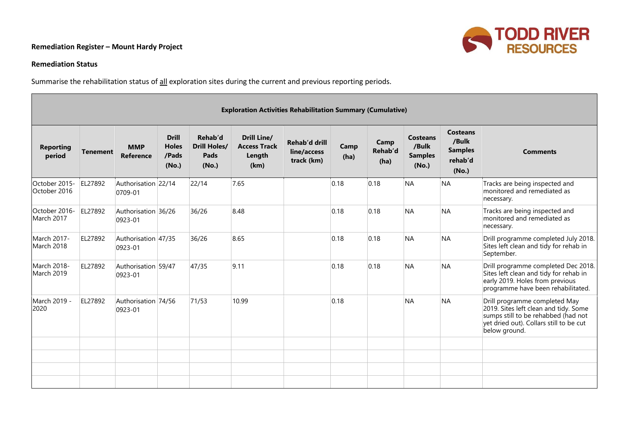## **Remediation Register – Mount Hardy Project**



## **Remediation Status**

Summarise the rehabilitation status of all exploration sites during the current and previous reporting periods.

|                               | <b>Exploration Activities Rehabilitation Summary (Cumulative)</b> |                                |                                                |                                                 |                                                             |                                            |              |                         |                                                     |                                                         |                                                                                                                                                                           |  |  |  |
|-------------------------------|-------------------------------------------------------------------|--------------------------------|------------------------------------------------|-------------------------------------------------|-------------------------------------------------------------|--------------------------------------------|--------------|-------------------------|-----------------------------------------------------|---------------------------------------------------------|---------------------------------------------------------------------------------------------------------------------------------------------------------------------------|--|--|--|
| <b>Reporting</b><br>period    | <b>Tenement</b>                                                   | <b>MMP</b><br>Reference        | <b>Drill</b><br><b>Holes</b><br>/Pads<br>(No.) | Rehab'd<br><b>Drill Holes/</b><br>Pads<br>(No.) | <b>Drill Line/</b><br><b>Access Track</b><br>Length<br>(km) | Rehab'd drill<br>line/access<br>track (km) | Camp<br>(ha) | Camp<br>Rehab'd<br>(ha) | <b>Costeans</b><br>/Bulk<br><b>Samples</b><br>(No.) | Costeans<br>/Bulk<br><b>Samples</b><br>rehab'd<br>(No.) | <b>Comments</b>                                                                                                                                                           |  |  |  |
| October 2015-<br>October 2016 | EL27892                                                           | Authorisation 22/14<br>0709-01 |                                                | 22/14                                           | 7.65                                                        |                                            | 0.18         | 0.18                    | <b>NA</b>                                           | <b>NA</b>                                               | Tracks are being inspected and<br>monitored and remediated as<br>necessary.                                                                                               |  |  |  |
| October 2016-<br>March 2017   | EL27892                                                           | Authorisation 36/26<br>0923-01 |                                                | 36/26                                           | 8.48                                                        |                                            | 0.18         | 0.18                    | <b>NA</b>                                           | <b>NA</b>                                               | Tracks are being inspected and<br>monitored and remediated as<br>necessary.                                                                                               |  |  |  |
| March 2017-<br>March 2018     | EL27892                                                           | Authorisation 47/35<br>0923-01 |                                                | 36/26                                           | 8.65                                                        |                                            | 0.18         | 0.18                    | <b>NA</b>                                           | <b>NA</b>                                               | Drill programme completed July 2018.<br>Sites left clean and tidy for rehab in<br>September.                                                                              |  |  |  |
| March 2018-<br>March 2019     | EL27892                                                           | Authorisation 59/47<br>0923-01 |                                                | 47/35                                           | 9.11                                                        |                                            | 0.18         | 0.18                    | <b>NA</b>                                           | <b>NA</b>                                               | Drill programme completed Dec 2018.<br>Sites left clean and tidy for rehab in<br>early 2019. Holes from previous<br>programme have been rehabilitated.                    |  |  |  |
| March 2019 -<br>2020          | EL27892                                                           | Authorisation 74/56<br>0923-01 |                                                | 71/53                                           | 10.99                                                       |                                            | 0.18         |                         | <b>NA</b>                                           | <b>NA</b>                                               | Drill programme completed May<br>2019. Sites left clean and tidy. Some<br>sumps still to be rehabbed (had not<br>yet dried out). Collars still to be cut<br>below ground. |  |  |  |
|                               |                                                                   |                                |                                                |                                                 |                                                             |                                            |              |                         |                                                     |                                                         |                                                                                                                                                                           |  |  |  |
|                               |                                                                   |                                |                                                |                                                 |                                                             |                                            |              |                         |                                                     |                                                         |                                                                                                                                                                           |  |  |  |
|                               |                                                                   |                                |                                                |                                                 |                                                             |                                            |              |                         |                                                     |                                                         |                                                                                                                                                                           |  |  |  |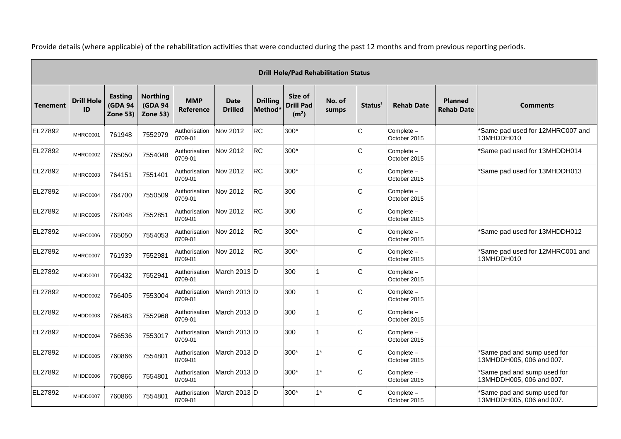|                 | <b>Drill Hole/Pad Rehabilitation Status</b> |                                                     |                                                      |                                |                               |                                        |                                                  |                 |                     |                            |                                     |                                                         |  |  |
|-----------------|---------------------------------------------|-----------------------------------------------------|------------------------------------------------------|--------------------------------|-------------------------------|----------------------------------------|--------------------------------------------------|-----------------|---------------------|----------------------------|-------------------------------------|---------------------------------------------------------|--|--|
| <b>Tenement</b> | <b>Drill Hole</b><br>ID                     | <b>Easting</b><br><b>(GDA 94</b><br><b>Zone 53)</b> | <b>Northing</b><br><b>(GDA 94</b><br><b>Zone 53)</b> | <b>MMP</b><br><b>Reference</b> | <b>Date</b><br><b>Drilled</b> | <b>Drilling</b><br>Method <sup>®</sup> | Size of<br><b>Drill Pad</b><br>(m <sup>2</sup> ) | No. of<br>sumps | Status <sup>+</sup> | <b>Rehab Date</b>          | <b>Planned</b><br><b>Rehab Date</b> | <b>Comments</b>                                         |  |  |
| EL27892         | <b>MHRC0001</b>                             | 761948                                              | 7552979                                              | Authorisation<br>0709-01       | Nov 2012                      | RC                                     | 300*                                             |                 | C                   | Complete -<br>October 2015 |                                     | *Same pad used for 12MHRC007 and<br>13MHDDH010          |  |  |
| EL27892         | MHRC0002                                    | 765050                                              | 7554048                                              | Authorisation<br>0709-01       | Nov 2012                      | RC                                     | 300*                                             |                 | C                   | Complete -<br>October 2015 |                                     | *Same pad used for 13MHDDH014                           |  |  |
| EL27892         | MHRC0003                                    | 764151                                              | 7551401                                              | Authorisation<br>0709-01       | Nov 2012                      | <b>RC</b>                              | 300*                                             |                 | C                   | Complete -<br>October 2015 |                                     | *Same pad used for 13MHDDH013                           |  |  |
| EL27892         | MHRC0004                                    | 764700                                              | 7550509                                              | Authorisation<br>0709-01       | Nov 2012                      | <b>RC</b>                              | 300                                              |                 | C                   | Complete -<br>October 2015 |                                     |                                                         |  |  |
| EL27892         | <b>MHRC0005</b>                             | 762048                                              | 7552851                                              | Authorisation<br>0709-01       | Nov 2012                      | RC                                     | 300                                              |                 | C                   | Complete -<br>October 2015 |                                     |                                                         |  |  |
| EL27892         | MHRC0006                                    | 765050                                              | 7554053                                              | Authorisation<br>0709-01       | Nov 2012                      | RC                                     | $300*$                                           |                 | C                   | Complete -<br>October 2015 |                                     | *Same pad used for 13MHDDH012                           |  |  |
| EL27892         | <b>MHRC0007</b>                             | 761939                                              | 7552981                                              | Authorisation<br>0709-01       | Nov 2012                      | <b>RC</b>                              | 300*                                             |                 | C                   | Complete -<br>October 2015 |                                     | *Same pad used for 12MHRC001 and<br>13MHDDH010          |  |  |
| EL27892         | MHDD0001                                    | 766432                                              | 7552941                                              | Authorisation<br>0709-01       | March 2013 D                  |                                        | 300                                              |                 | C                   | Complete -<br>October 2015 |                                     |                                                         |  |  |
| EL27892         | MHDD0002                                    | 766405                                              | 7553004                                              | Authorisation<br>0709-01       | March $2013$ D                |                                        | 300                                              |                 | C                   | Complete -<br>October 2015 |                                     |                                                         |  |  |
| EL27892         | MHDD0003                                    | 766483                                              | 7552968                                              | Authorisation<br>0709-01       | March 2013 D                  |                                        | 300                                              |                 | C                   | Complete -<br>October 2015 |                                     |                                                         |  |  |
| EL27892         | MHDD0004                                    | 766536                                              | 7553017                                              | Authorisation<br>0709-01       | March 2013 D                  |                                        | 300                                              |                 | C                   | Complete -<br>October 2015 |                                     |                                                         |  |  |
| EL27892         | MHDD0005                                    | 760866                                              | 7554801                                              | Authorisation<br>0709-01       | March $2013$ D                |                                        | 300*                                             | $1*$            | C                   | Complete -<br>October 2015 |                                     | *Same pad and sump used for<br>13MHDDH005, 006 and 007. |  |  |
| EL27892         | MHDD0006                                    | 760866                                              | 7554801                                              | Authorisation<br>0709-01       | March 2013 D                  |                                        | 300*                                             | $1^*$           | C                   | Complete -<br>October 2015 |                                     | *Same pad and sump used for<br>13MHDDH005, 006 and 007. |  |  |
| EL27892         | MHDD0007                                    | 760866                                              | 7554801                                              | Authorisation<br>0709-01       | March 2013 D                  |                                        | 300*                                             | $1^*$           | C                   | Complete -<br>October 2015 |                                     | *Same pad and sump used for<br>13MHDDH005, 006 and 007. |  |  |

Provide details (where applicable) of the rehabilitation activities that were conducted during the past 12 months and from previous reporting periods.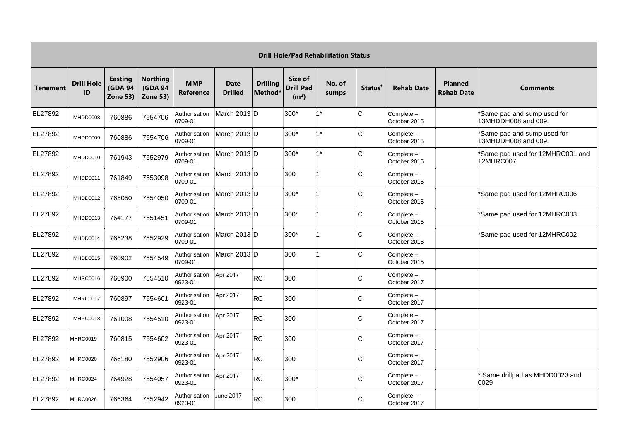|                 | <b>Drill Hole/Pad Rehabilitation Status</b> |                                              |                                               |                                |                               |                            |                                                  |                 |                     |                            |                                     |                                                      |  |  |
|-----------------|---------------------------------------------|----------------------------------------------|-----------------------------------------------|--------------------------------|-------------------------------|----------------------------|--------------------------------------------------|-----------------|---------------------|----------------------------|-------------------------------------|------------------------------------------------------|--|--|
| <b>Tenement</b> | <b>Drill Hole</b><br>ID                     | Easting<br><b>(GDA 94</b><br><b>Zone 53)</b> | <b>Northing</b><br><b>(GDA 94</b><br>Zone 53) | <b>MMP</b><br><b>Reference</b> | <b>Date</b><br><b>Drilled</b> | <b>Drilling</b><br>Method* | Size of<br><b>Drill Pad</b><br>(m <sup>2</sup> ) | No. of<br>sumps | Status <sup>+</sup> | <b>Rehab Date</b>          | <b>Planned</b><br><b>Rehab Date</b> | <b>Comments</b>                                      |  |  |
| EL27892         | MHDD0008                                    | 760886                                       | 7554706                                       | Authorisation<br>0709-01       | March $2013$ D                |                            | 300*                                             | $1^*$           | C                   | Complete -<br>October 2015 |                                     | *Same pad and sump used for<br>13MHDDH008 and 009.   |  |  |
| EL27892         | MHDD0009                                    | 760886                                       | 7554706                                       | Authorisation<br>0709-01       | March $2013$ D                |                            | 300*                                             | $1*$            | C                   | Complete -<br>October 2015 |                                     | *Same pad and sump used for<br>13MHDDH008 and 009.   |  |  |
| EL27892         | MHDD0010                                    | 761943                                       | 7552979                                       | Authorisation<br>0709-01       | March $2013$ D                |                            | $300*$                                           | $1^*$           | C                   | Complete -<br>October 2015 |                                     | *Same pad used for 12MHRC001 and<br><b>12MHRC007</b> |  |  |
| EL27892         | MHDD0011                                    | 761849                                       | 7553098                                       | Authorisation<br>0709-01       | March $2013$ D                |                            | 300                                              |                 | C.                  | Complete -<br>October 2015 |                                     |                                                      |  |  |
| EL27892         | MHDD0012                                    | 765050                                       | 7554050                                       | Authorisation<br>0709-01       | March 2013 D                  |                            | $300*$                                           |                 | C                   | Complete -<br>October 2015 |                                     | *Same pad used for 12MHRC006                         |  |  |
| EL27892         | MHDD0013                                    | 764177                                       | 7551451                                       | Authorisation<br>0709-01       | March $2013$ D                |                            | $300*$                                           |                 | C                   | Complete -<br>October 2015 |                                     | *Same pad used for 12MHRC003                         |  |  |
| EL27892         | MHDD0014                                    | 766238                                       | 7552929                                       | Authorisation<br>0709-01       | March 2013 D                  |                            | $300*$                                           |                 | C.                  | Complete -<br>October 2015 |                                     | *Same pad used for 12MHRC002                         |  |  |
| EL27892         | MHDD0015                                    | 760902                                       | 7554549                                       | Authorisation<br>0709-01       | March $2013$ D                |                            | 300                                              |                 | C                   | Complete -<br>October 2015 |                                     |                                                      |  |  |
| EL27892         | MHRC0016                                    | 760900                                       | 7554510                                       | Authorisation<br>0923-01       | Apr 2017                      | <b>RC</b>                  | 300                                              |                 | C                   | Complete -<br>October 2017 |                                     |                                                      |  |  |
| EL27892         | MHRC0017                                    | 760897                                       | 7554601                                       | Authorisation<br>0923-01       | Apr 2017                      | <b>RC</b>                  | 300                                              |                 | C                   | Complete -<br>October 2017 |                                     |                                                      |  |  |
| EL27892         | MHRC0018                                    | 761008                                       | 7554510                                       | Authorisation<br>0923-01       | Apr 2017                      | <b>RC</b>                  | 300                                              |                 | C                   | Complete -<br>October 2017 |                                     |                                                      |  |  |
| EL27892         | MHRC0019                                    | 760815                                       | 7554602                                       | Authorisation<br>0923-01       | Apr 2017                      | <b>RC</b>                  | 300                                              |                 | C                   | Complete -<br>October 2017 |                                     |                                                      |  |  |
| EL27892         | <b>MHRC0020</b>                             | 766180                                       | 7552906                                       | Authorisation<br>0923-01       | Apr 2017                      | <b>RC</b>                  | 300                                              |                 | C                   | Complete -<br>October 2017 |                                     |                                                      |  |  |
| EL27892         | MHRC0024                                    | 764928                                       | 7554057                                       | Authorisation<br>0923-01       | Apr 2017                      | <b>RC</b>                  | 300*                                             |                 | C                   | Complete -<br>October 2017 |                                     | Same drillpad as MHDD0023 and<br>0029                |  |  |
| EL27892         | <b>MHRC0026</b>                             | 766364                                       | 7552942                                       | Authorisation<br>0923-01       | June 2017                     | <b>RC</b>                  | 300                                              |                 | C                   | Complete -<br>October 2017 |                                     |                                                      |  |  |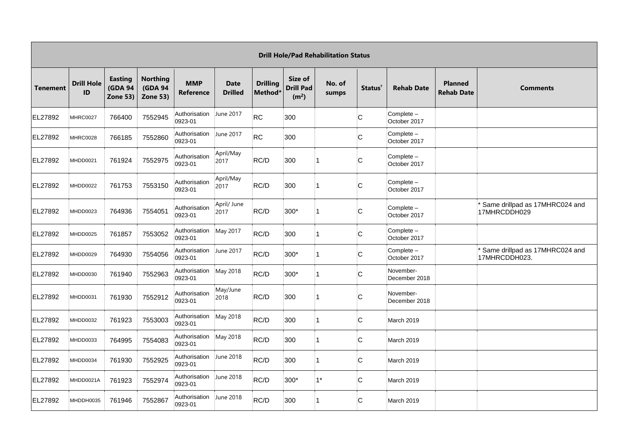|                 | <b>Drill Hole/Pad Rehabilitation Status</b> |                                                     |                                                      |                                |                               |                            |                                                  |                 |                     |                            |                                     |                                                 |  |  |
|-----------------|---------------------------------------------|-----------------------------------------------------|------------------------------------------------------|--------------------------------|-------------------------------|----------------------------|--------------------------------------------------|-----------------|---------------------|----------------------------|-------------------------------------|-------------------------------------------------|--|--|
| <b>Tenement</b> | <b>Drill Hole</b><br>ID                     | <b>Easting</b><br><b>(GDA 94</b><br><b>Zone 53)</b> | <b>Northing</b><br><b>(GDA 94</b><br><b>Zone 53)</b> | <b>MMP</b><br><b>Reference</b> | <b>Date</b><br><b>Drilled</b> | <b>Drilling</b><br>Method* | Size of<br><b>Drill Pad</b><br>(m <sup>2</sup> ) | No. of<br>sumps | Status <sup>+</sup> | <b>Rehab Date</b>          | <b>Planned</b><br><b>Rehab Date</b> | <b>Comments</b>                                 |  |  |
| EL27892         | <b>MHRC0027</b>                             | 766400                                              | 7552945                                              | Authorisation<br>0923-01       | June 2017                     | <b>RC</b>                  | 300                                              |                 | C                   | Complete -<br>October 2017 |                                     |                                                 |  |  |
| EL27892         | MHRC0028                                    | 766185                                              | 7552860                                              | Authorisation<br>0923-01       | June 2017                     | <b>RC</b>                  | 300                                              |                 | C                   | Complete -<br>October 2017 |                                     |                                                 |  |  |
| EL27892         | MHDD0021                                    | 761924                                              | 7552975                                              | Authorisation<br>0923-01       | April/May<br>2017             | RC/D                       | 300                                              | 1               | C                   | Complete -<br>October 2017 |                                     |                                                 |  |  |
| EL27892         | MHDD0022                                    | 761753                                              | 7553150                                              | Authorisation<br>0923-01       | April/May<br>2017             | RC/D                       | 300                                              | 1               | C                   | Complete -<br>October 2017 |                                     |                                                 |  |  |
| EL27892         | MHDD0023                                    | 764936                                              | 7554051                                              | Authorisation<br>0923-01       | April/ June<br>2017           | RC/D                       | $300*$                                           | 1               | C                   | Complete -<br>October 2017 |                                     | Same drillpad as 17MHRC024 and<br>17MHRCDDH029  |  |  |
| EL27892         | MHDD0025                                    | 761857                                              | 7553052                                              | Authorisation<br>0923-01       | May 2017                      | RC/D                       | 300                                              | 1               | lC.                 | Complete -<br>October 2017 |                                     |                                                 |  |  |
| EL27892         | MHDD0029                                    | 764930                                              | 7554056                                              | Authorisation<br>0923-01       | June 2017                     | RC/D                       | $300*$                                           | 1               | C                   | Complete -<br>October 2017 |                                     | Same drillpad as 17MHRC024 and<br>17MHRCDDH023. |  |  |
| EL27892         | MHDD0030                                    | 761940                                              | 7552963                                              | Authorisation<br>0923-01       | May 2018                      | RC/D                       | $300*$                                           | 1               | lC.                 | November-<br>December 2018 |                                     |                                                 |  |  |
| EL27892         | MHDD0031                                    | 761930                                              | 7552912                                              | Authorisation<br>0923-01       | May/June<br>2018              | RC/D                       | 300                                              | 1               | lC.                 | November-<br>December 2018 |                                     |                                                 |  |  |
| EL27892         | MHDD0032                                    | 761923                                              | 7553003                                              | Authorisation<br>0923-01       | May 2018                      | RC/D                       | 300                                              | 1               | C                   | March 2019                 |                                     |                                                 |  |  |
| EL27892         | MHDD0033                                    | 764995                                              | 7554083                                              | Authorisation<br>0923-01       | May 2018                      | RC/D                       | 300                                              | 1               | lC.                 | <b>March 2019</b>          |                                     |                                                 |  |  |
| EL27892         | MHDD0034                                    | 761930                                              | 7552925                                              | Authorisation<br>0923-01       | June 2018                     | RC/D                       | 300                                              | 1               | lC.                 | <b>March 2019</b>          |                                     |                                                 |  |  |
| EL27892         | MHDD0021A                                   | 761923                                              | 7552974                                              | Authorisation<br>0923-01       | June 2018                     | RC/D                       | 300*                                             | $1^*$           | lC.                 | March 2019                 |                                     |                                                 |  |  |
| EL27892         | MHDDH0035                                   | 761946                                              | 7552867                                              | Authorisation<br>0923-01       | June 2018                     | RC/D                       | 300                                              | 1               | lC.                 | <b>March 2019</b>          |                                     |                                                 |  |  |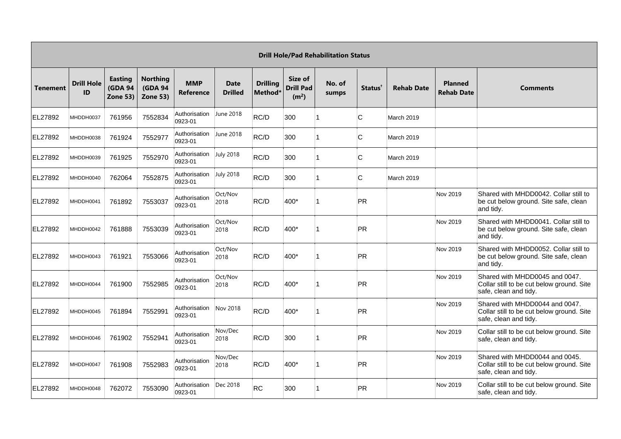|                 | <b>Drill Hole/Pad Rehabilitation Status</b> |                                                     |                                                       |                                |                               |                                        |                                                  |                 |                     |                   |                                     |                                                                                                      |  |  |
|-----------------|---------------------------------------------|-----------------------------------------------------|-------------------------------------------------------|--------------------------------|-------------------------------|----------------------------------------|--------------------------------------------------|-----------------|---------------------|-------------------|-------------------------------------|------------------------------------------------------------------------------------------------------|--|--|
| <b>Tenement</b> | <b>Drill Hole</b><br>ID                     | <b>Easting</b><br><b>(GDA 94</b><br><b>Zone 53)</b> | <b>Northing</b><br><b>(GDA 94)</b><br><b>Zone 53)</b> | <b>MMP</b><br><b>Reference</b> | <b>Date</b><br><b>Drilled</b> | <b>Drilling</b><br>Method <sup>*</sup> | Size of<br><b>Drill Pad</b><br>(m <sup>2</sup> ) | No. of<br>sumps | Status <sup>+</sup> | <b>Rehab Date</b> | <b>Planned</b><br><b>Rehab Date</b> | <b>Comments</b>                                                                                      |  |  |
| EL27892         | MHDDH0037                                   | 761956                                              | 7552834                                               | Authorisation<br>0923-01       | June 2018                     | RC/D                                   | 300                                              |                 | C                   | March 2019        |                                     |                                                                                                      |  |  |
| EL27892         | MHDDH0038                                   | 761924                                              | 7552977                                               | Authorisation<br>0923-01       | June 2018                     | RC/D                                   | 300                                              |                 | C                   | March 2019        |                                     |                                                                                                      |  |  |
| EL27892         | MHDDH0039                                   | 761925                                              | 7552970                                               | Authorisation<br>0923-01       | <b>July 2018</b>              | RC/D                                   | 300                                              |                 | C                   | March 2019        |                                     |                                                                                                      |  |  |
| EL27892         | MHDDH0040                                   | 762064                                              | 7552875                                               | Authorisation<br>0923-01       | <b>July 2018</b>              | RC/D                                   | 300                                              |                 | C                   | March 2019        |                                     |                                                                                                      |  |  |
| EL27892         | MHDDH0041                                   | 761892                                              | 7553037                                               | Authorisation<br>0923-01       | Oct/Nov<br>2018               | RC/D                                   | 400*                                             |                 | PR                  |                   | Nov 2019                            | Shared with MHDD0042. Collar still to<br>be cut below ground. Site safe, clean<br>and tidy.          |  |  |
| EL27892         | MHDDH0042                                   | 761888                                              | 7553039                                               | Authorisation<br>0923-01       | Oct/Nov<br>2018               | RC/D                                   | 400*                                             |                 | PR                  |                   | Nov 2019                            | Shared with MHDD0041. Collar still to<br>be cut below ground. Site safe, clean<br>and tidy.          |  |  |
| EL27892         | MHDDH0043                                   | 761921                                              | 7553066                                               | Authorisation<br>0923-01       | Oct/Nov<br>2018               | RC/D                                   | 400*                                             |                 | PR                  |                   | Nov 2019                            | Shared with MHDD0052. Collar still to<br>be cut below ground. Site safe, clean<br>and tidy.          |  |  |
| EL27892         | MHDDH0044                                   | 761900                                              | 7552985                                               | Authorisation<br>0923-01       | Oct/Nov<br>2018               | RC/D                                   | 400*                                             |                 | PR                  |                   | Nov 2019                            | Shared with MHDD0045 and 0047.<br>Collar still to be cut below ground. Site<br>safe, clean and tidy. |  |  |
| EL27892         | MHDDH0045                                   | 761894                                              | 7552991                                               | Authorisation<br>0923-01       | Nov 2018                      | RC/D                                   | 400*                                             |                 | PR                  |                   | Nov 2019                            | Shared with MHDD0044 and 0047.<br>Collar still to be cut below ground. Site<br>safe, clean and tidy. |  |  |
| EL27892         | MHDDH0046                                   | 761902                                              | 7552941                                               | Authorisation<br>0923-01       | Nov/Dec<br>2018               | RC/D                                   | 300                                              |                 | PR                  |                   | Nov 2019                            | Collar still to be cut below ground. Site<br>safe, clean and tidy.                                   |  |  |
| EL27892         | MHDDH0047                                   | 761908                                              | 7552983                                               | Authorisation<br>0923-01       | Nov/Dec<br>2018               | RC/D                                   | 400*                                             |                 | PR                  |                   | Nov 2019                            | Shared with MHDD0044 and 0045.<br>Collar still to be cut below ground. Site<br>safe, clean and tidy. |  |  |
| EL27892         | MHDDH0048                                   | 762072                                              | 7553090                                               | Authorisation<br>0923-01       | Dec 2018                      | <b>RC</b>                              | 300                                              |                 | PR                  |                   | Nov 2019                            | Collar still to be cut below ground. Site<br>safe, clean and tidy.                                   |  |  |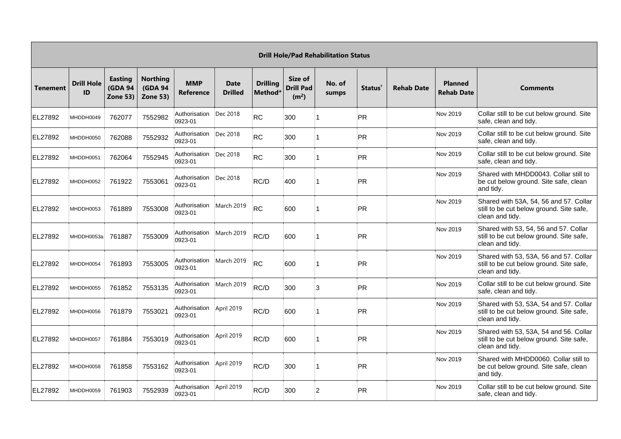|                 | <b>Drill Hole/Pad Rehabilitation Status</b> |                                                     |                                                      |                                       |                               |                            |                                                  |                 |                     |                   |                                     |                                                                                                       |  |  |
|-----------------|---------------------------------------------|-----------------------------------------------------|------------------------------------------------------|---------------------------------------|-------------------------------|----------------------------|--------------------------------------------------|-----------------|---------------------|-------------------|-------------------------------------|-------------------------------------------------------------------------------------------------------|--|--|
| <b>Tenement</b> | <b>Drill Hole</b><br>ID                     | <b>Easting</b><br><b>(GDA 94</b><br><b>Zone 53)</b> | <b>Northing</b><br><b>(GDA 94</b><br><b>Zone 53)</b> | <b>MMP</b><br><b>Reference</b>        | <b>Date</b><br><b>Drilled</b> | <b>Drilling</b><br>Method* | Size of<br><b>Drill Pad</b><br>(m <sup>2</sup> ) | No. of<br>sumps | Status <sup>®</sup> | <b>Rehab Date</b> | <b>Planned</b><br><b>Rehab Date</b> | <b>Comments</b>                                                                                       |  |  |
| EL27892         | MHDDH0049                                   | 762077                                              | 7552982                                              | Authorisation<br>0923-01              | Dec 2018                      | <b>RC</b>                  | 300                                              |                 | PR                  |                   | Nov 2019                            | Collar still to be cut below ground. Site<br>safe, clean and tidy.                                    |  |  |
| EL27892         | MHDDH0050                                   | 762088                                              | 7552932                                              | Authorisation<br>0923-01              | Dec 2018                      | <b>RC</b>                  | 300                                              |                 | <b>PR</b>           |                   | Nov 2019                            | Collar still to be cut below ground. Site<br>safe, clean and tidy.                                    |  |  |
| EL27892         | MHDDH0051                                   | 762064                                              | 7552945                                              | Authorisation<br>0923-01              | Dec 2018                      | <b>RC</b>                  | 300                                              |                 | <b>PR</b>           |                   | Nov 2019                            | Collar still to be cut below ground. Site<br>safe, clean and tidy.                                    |  |  |
| EL27892         | MHDDH0052                                   | 761922                                              | 7553061                                              | Authorisation<br>0923-01              | Dec 2018                      | RC/D                       | 400                                              |                 | PR                  |                   | Nov 2019                            | Shared with MHDD0043. Collar still to<br>be cut below ground. Site safe, clean<br>and tidy.           |  |  |
| EL27892         | MHDDH0053                                   | 761889                                              | 7553008                                              | Authorisation<br>0923-01              | March 2019                    | <b>RC</b>                  | 600                                              |                 | PR                  |                   | Nov 2019                            | Shared with 53A, 54, 56 and 57. Collar<br>still to be cut below ground. Site safe,<br>clean and tidy. |  |  |
| EL27892         | MHDDH0053a                                  | 761887                                              | 7553009                                              | Authorisation<br>0923-01              | March 2019                    | RC/D                       | 600                                              |                 | <b>PR</b>           |                   | Nov 2019                            | Shared with 53, 54, 56 and 57. Collar<br>still to be cut below ground. Site safe,<br>clean and tidy.  |  |  |
| EL27892         | MHDDH0054                                   | 761893                                              | 7553005                                              | Authorisation<br>0923-01              | March 2019                    | <b>RC</b>                  | 600                                              |                 | PR                  |                   | Nov 2019                            | Shared with 53, 53A, 56 and 57. Collar<br>still to be cut below ground. Site safe,<br>clean and tidy. |  |  |
| EL27892         | MHDDH0055                                   | 761852                                              | 7553135                                              | Authorisation<br>0923-01              | March 2019                    | RC/D                       | 300                                              | 3               | <b>PR</b>           |                   | Nov 2019                            | Collar still to be cut below ground. Site<br>safe, clean and tidy.                                    |  |  |
| EL27892         | MHDDH0056                                   | 761879                                              | 7553021                                              | Authorisation<br>0923-01              | April 2019                    | RC/D                       | 600                                              |                 | <b>PR</b>           |                   | Nov 2019                            | Shared with 53, 53A, 54 and 57. Collar<br>still to be cut below ground. Site safe,<br>clean and tidy. |  |  |
| EL27892         | MHDDH0057                                   | 761884                                              | 7553019                                              | Authorisation<br>0923-01              | April 2019                    | RC/D                       | 600                                              |                 | <b>PR</b>           |                   | Nov 2019                            | Shared with 53, 53A, 54 and 56. Collar<br>still to be cut below ground. Site safe,<br>clean and tidy. |  |  |
| EL27892         | MHDDH0058                                   | 761858                                              | 7553162                                              | Authorisation   April 2019<br>0923-01 |                               | RC/D                       | 300                                              |                 | <b>PR</b>           |                   | Nov 2019                            | Shared with MHDD0060. Collar still to<br>be cut below ground. Site safe, clean<br>and tidy.           |  |  |
| EL27892         | MHDDH0059                                   | 761903                                              | 7552939                                              | Authorisation<br>0923-01              | April 2019                    | RC/D                       | 300                                              | $\overline{2}$  | <b>PR</b>           |                   | Nov 2019                            | Collar still to be cut below ground. Site<br>safe, clean and tidy.                                    |  |  |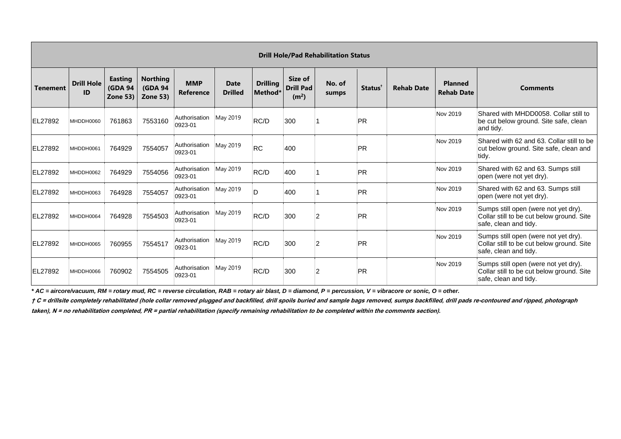|                 | <b>Drill Hole/Pad Rehabilitation Status</b> |                                              |                                                       |                          |                               |                                        |                                                  |                 |                     |                   |                                     |                                                                                                            |  |  |
|-----------------|---------------------------------------------|----------------------------------------------|-------------------------------------------------------|--------------------------|-------------------------------|----------------------------------------|--------------------------------------------------|-----------------|---------------------|-------------------|-------------------------------------|------------------------------------------------------------------------------------------------------------|--|--|
| <b>Tenement</b> | <b>Drill Hole</b><br>ID                     | <b>Easting</b><br><b>(GDA 94</b><br>Zone 53) | <b>Northing</b><br><b>(GDA 94)</b><br><b>Zone 53)</b> | <b>MMP</b><br>Reference  | <b>Date</b><br><b>Drilled</b> | <b>Drilling</b><br>Method <sup>®</sup> | Size of<br><b>Drill Pad</b><br>(m <sup>2</sup> ) | No. of<br>sumps | Status <sup>1</sup> | <b>Rehab Date</b> | <b>Planned</b><br><b>Rehab Date</b> | <b>Comments</b>                                                                                            |  |  |
| EL27892         | MHDDH0060                                   | 761863                                       | 7553160                                               | Authorisation<br>0923-01 | May 2019                      | RC/D                                   | 300                                              |                 | PR                  |                   | Nov 2019                            | Shared with MHDD0058. Collar still to<br>be cut below ground. Site safe, clean<br>and tidy.                |  |  |
| EL27892         | MHDDH0061                                   | 764929                                       | 7554057                                               | Authorisation<br>0923-01 | May 2019                      | RC                                     | 400                                              |                 | PR                  |                   | Nov 2019                            | Shared with 62 and 63. Collar still to be<br>cut below ground. Site safe, clean and<br>tidy.               |  |  |
| EL27892         | MHDDH0062                                   | 764929                                       | 7554056                                               | Authorisation<br>0923-01 | May 2019                      | RC/D                                   | 400                                              |                 | PR                  |                   | Nov 2019                            | Shared with 62 and 63. Sumps still<br>open (were not yet dry).                                             |  |  |
| <b>IEL27892</b> | MHDDH0063                                   | 764928                                       | 7554057                                               | Authorisation<br>0923-01 | May 2019                      | D                                      | 400                                              |                 | PR                  |                   | Nov 2019                            | Shared with 62 and 63. Sumps still<br>open (were not yet dry).                                             |  |  |
| EL27892         | MHDDH0064                                   | 764928                                       | 7554503                                               | Authorisation<br>0923-01 | May 2019                      | RC/D                                   | 300                                              | $\overline{2}$  | PR                  |                   | Nov 2019                            | Sumps still open (were not yet dry).<br>Collar still to be cut below ground. Site<br>safe, clean and tidy. |  |  |
| EL27892         | MHDDH0065                                   | 760955                                       | 7554517                                               | Authorisation<br>0923-01 | May 2019                      | RC/D                                   | 300                                              | $\overline{2}$  | PR                  |                   | Nov 2019                            | Sumps still open (were not yet dry).<br>Collar still to be cut below ground. Site<br>safe, clean and tidy. |  |  |
| EL27892         | MHDDH0066                                   | 760902                                       | 7554505                                               | Authorisation<br>0923-01 | May 2019                      | RC/D                                   | 300                                              | $\overline{2}$  | PR                  |                   | Nov 2019                            | Sumps still open (were not yet dry).<br>Collar still to be cut below ground. Site<br>safe, clean and tidy. |  |  |

*\* AC = aircore/vacuum, RM = rotary mud, RC = reverse circulation, RAB = rotary air blast, D = diamond, P = percussion, V = vibracore or sonic, O = other.*

**† C = drillsite completely rehabilitated (hole collar removed plugged and backfilled, drill spoils buried and sample bags removed, sumps backfilled, drill pads re-contoured and ripped, photograph** 

**taken), N = no rehabilitation completed, PR = partial rehabilitation (specify remaining rehabilitation to be completed within the comments section).**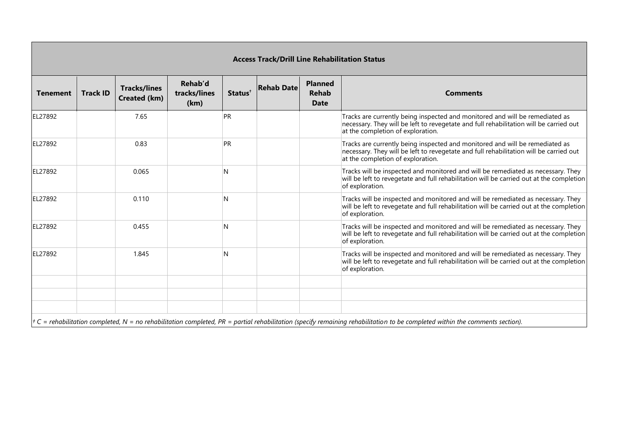| <b>Access Track/Drill Line Rehabilitation Status</b> |                 |                                     |                                 |                     |                   |                                               |                                                                                                                                                                                                             |  |  |  |  |  |  |
|------------------------------------------------------|-----------------|-------------------------------------|---------------------------------|---------------------|-------------------|-----------------------------------------------|-------------------------------------------------------------------------------------------------------------------------------------------------------------------------------------------------------------|--|--|--|--|--|--|
| <b>Tenement</b>                                      | <b>Track ID</b> | <b>Tracks/lines</b><br>Created (km) | Rehab'd<br>tracks/lines<br>(km) | Status <sup>+</sup> | <b>Rehab Date</b> | <b>Planned</b><br><b>Rehab</b><br><b>Date</b> | <b>Comments</b>                                                                                                                                                                                             |  |  |  |  |  |  |
| EL27892                                              |                 | 7.65                                |                                 | PR                  |                   |                                               | Tracks are currently being inspected and monitored and will be remediated as<br>necessary. They will be left to revegetate and full rehabilitation will be carried out<br>at the completion of exploration. |  |  |  |  |  |  |
| EL27892                                              |                 | 0.83                                |                                 | PR                  |                   |                                               | Tracks are currently being inspected and monitored and will be remediated as<br>necessary. They will be left to revegetate and full rehabilitation will be carried out<br>at the completion of exploration. |  |  |  |  |  |  |
| EL27892                                              |                 | 0.065                               |                                 | N                   |                   |                                               | Tracks will be inspected and monitored and will be remediated as necessary. They<br>will be left to revegetate and full rehabilitation will be carried out at the completion<br>of exploration.             |  |  |  |  |  |  |
| EL27892                                              |                 | 0.110                               |                                 | N                   |                   |                                               | Tracks will be inspected and monitored and will be remediated as necessary. They<br>will be left to revegetate and full rehabilitation will be carried out at the completion<br>of exploration.             |  |  |  |  |  |  |
| EL27892                                              |                 | 0.455                               |                                 | N                   |                   |                                               | Tracks will be inspected and monitored and will be remediated as necessary. They<br>will be left to revegetate and full rehabilitation will be carried out at the completion<br>of exploration.             |  |  |  |  |  |  |
| EL27892                                              |                 | 1.845                               |                                 | N                   |                   |                                               | Tracks will be inspected and monitored and will be remediated as necessary. They<br>will be left to revegetate and full rehabilitation will be carried out at the completion<br>of exploration.             |  |  |  |  |  |  |
|                                                      |                 |                                     |                                 |                     |                   |                                               |                                                                                                                                                                                                             |  |  |  |  |  |  |
|                                                      |                 |                                     |                                 |                     |                   |                                               |                                                                                                                                                                                                             |  |  |  |  |  |  |
|                                                      |                 |                                     |                                 |                     |                   |                                               | $\dagger$ C = rehabilitation completed, N = no rehabilitation completed, PR = partial rehabilitation (specify remaining rehabilitation to be completed within the comments section).                        |  |  |  |  |  |  |